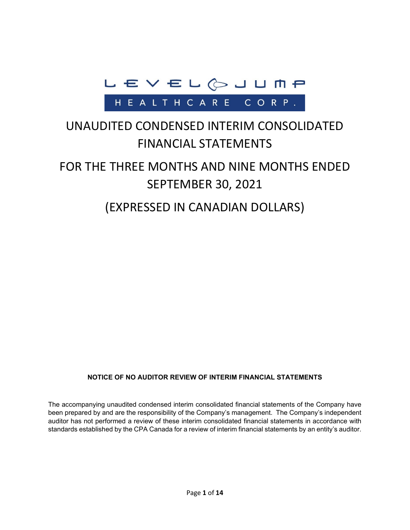

## UNAUDITED CONDENSED INTERIM CONSOLIDATED FINANCIAL STATEMENTS

# FOR THE THREE MONTHS AND NINE MONTHS ENDED SEPTEMBER 30, 2021

## (EXPRESSED IN CANADIAN DOLLARS)

#### **NOTICE OF NO AUDITOR REVIEW OF INTERIM FINANCIAL STATEMENTS**

The accompanying unaudited condensed interim consolidated financial statements of the Company have been prepared by and are the responsibility of the Company's management. The Company's independent auditor has not performed a review of these interim consolidated financial statements in accordance with standards established by the CPA Canada for a review of interim financial statements by an entity's auditor.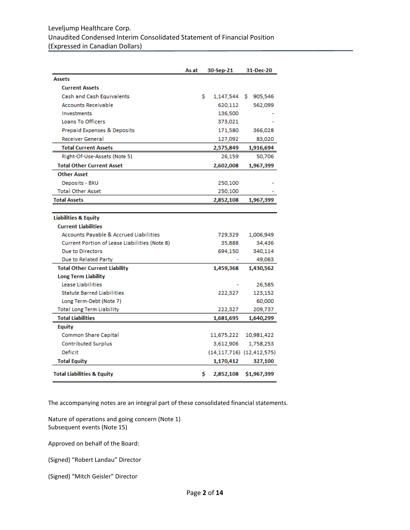#### Leveljump Healthcare Corp. Unaudited Condensed Interim Consolidated Statement of Financial Position (Expressed in Canadian Dollars)

|                                                   | As at |    | 30-Sep-21  | 31-Dec-20                 |
|---------------------------------------------------|-------|----|------------|---------------------------|
| <b>Assets</b>                                     |       |    |            |                           |
| <b>Current Assets</b>                             |       |    |            |                           |
| Cash and Cash Equivalents                         |       | s. | 1,147,544  | S.<br>905,546             |
| <b>Accounts Receivable</b>                        |       |    | 620,112    | 562,099                   |
| Investments                                       |       |    | 136,500    |                           |
| <b>Loans To Officers</b>                          |       |    | 373,021    |                           |
| Prepaid Expenses & Deposits                       |       |    | 171,580    | 366,028                   |
| <b>Receiver General</b>                           |       |    | 127,092    | 83,020                    |
| <b>Total Current Assets</b>                       |       |    | 2,575,849  | 1,916,694                 |
| Right-Of-Use-Assets (Note 5)                      |       |    | 26,159     | 50,706                    |
| <b>Total Other Current Asset</b>                  |       |    | 2,602,008  | 1,967,399                 |
| <b>Other Asset</b>                                |       |    |            |                           |
| Deposits - BXU                                    |       |    | 250,100    |                           |
| <b>Total Other Asset</b>                          |       |    | 250,100    |                           |
| <b>Total Assets</b>                               |       |    | 2,852,108  | 1,967,399                 |
|                                                   |       |    |            |                           |
| <b>Liabilities &amp; Equity</b>                   |       |    |            |                           |
| <b>Current Liabilities</b>                        |       |    |            |                           |
| <b>Accounts Payable &amp; Accrued Liabilities</b> |       |    | 729,329    | 1,006,949                 |
| Current Portion of Lease Liabilities (Note 8)     |       |    | 35,888     | 34,436                    |
| Due to Directors                                  |       |    | 694,150    | 340,114                   |
| Due to Related Party                              |       |    |            | 49,063                    |
| <b>Total Other Current Liability</b>              |       |    | 1,459,368  | 1,430,562                 |
| Long Term Liability                               |       |    |            |                           |
| Lease Liabilities                                 |       |    |            | 26,585                    |
| <b>Statute Barred Liabilities</b>                 |       |    | 222,327    | 123,152                   |
| Long Term-Debt (Note 7)                           |       |    |            | 60,000                    |
| <b>Total Long Term Liability</b>                  |       |    | 222,327    | 209,737                   |
| <b>Total Liabilities</b>                          |       |    | 1,681,695  | 1,640,299                 |
| <b>Equity</b>                                     |       |    |            |                           |
| <b>Common Share Capital</b>                       |       |    | 11,675,222 | 10,981,422                |
| <b>Contributed Surplus</b>                        |       |    | 3,612,906  | 1,758,253                 |
| <b>Deficit</b>                                    |       |    |            | (14,117,716) (12,412,575) |
| <b>Total Equity</b>                               |       |    | 1,170,412  | 327,100                   |
| <b>Total Liabilities &amp; Equity</b>             |       | s  | 2,852,108  | \$1,967,399               |

The accompanying notes are an integral part of these consolidated financial statements.

Nature of operations and going concern (Note 1) Subsequent events (Note 15)

Approved on behalf of the Board:

(Signed) "Robert Landau" Director

(Signed) "Mitch Geisler" Director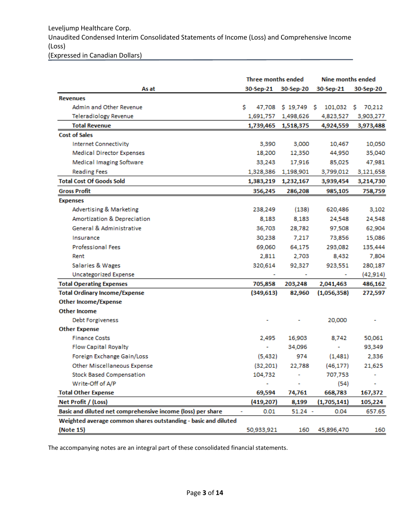## Leveljump Healthcare Corp. Unaudited Condensed Interim Consolidated Statements of Income (Loss) and Comprehensive Income (Loss)

(Expressed in Canadian Dollars)

|                                                                | Three months ended     |              | Nine months ended |             |  |
|----------------------------------------------------------------|------------------------|--------------|-------------------|-------------|--|
| As at                                                          | 30-Sep-21<br>30-Sep-20 |              | 30-Sep-21         | 30-Sep-20   |  |
| <b>Revenues</b>                                                |                        |              |                   |             |  |
| <b>Admin and Other Revenue</b>                                 | s<br>47,708            | $$19,749$ \$ | 101,032           | 70,212<br>s |  |
| <b>Teleradiology Revenue</b>                                   | 1,691,757              | 1,498,626    | 4,823,527         | 3,903,277   |  |
| <b>Total Revenue</b>                                           | 1,739,465              | 1,518,375    | 4,924,559         | 3,973,488   |  |
| <b>Cost of Sales</b>                                           |                        |              |                   |             |  |
| <b>Internet Connectivity</b>                                   | 3,390                  | 3,000        | 10,467            | 10,050      |  |
| <b>Medical Director Expenses</b>                               | 18,200                 | 12,350       | 44,950            | 35,040      |  |
| <b>Medical Imaging Software</b>                                | 33,243                 | 17,916       | 85,025            | 47,981      |  |
| <b>Reading Fees</b>                                            | 1,328,386              | 1,198,901    | 3,799,012         | 3,121,658   |  |
| <b>Total Cost Of Goods Sold</b>                                | 1,383,219              | 1,232,167    | 3,939,454         | 3,214,730   |  |
| <b>Gross Profit</b>                                            | 356,245                | 286,208      | 985,105           | 758,759     |  |
| <b>Expenses</b>                                                |                        |              |                   |             |  |
| <b>Advertising &amp; Marketing</b>                             | 238,249                | (138)        | 620,486           | 3,102       |  |
| Amortization & Depreciation                                    | 8,183                  | 8,183        | 24,548            | 24,548      |  |
| General & Administrative                                       | 36,703                 | 28,782       | 97,508            | 62,904      |  |
| Insurance                                                      | 30,238                 | 7,217        | 73,856            | 15,086      |  |
| <b>Professional Fees</b>                                       | 69,060                 | 64,175       | 293,082           | 135,444     |  |
| Rent                                                           | 2,811                  | 2,703        | 8,432             | 7,804       |  |
| Salaries & Wages                                               | 320,614                | 92,327       | 923,551           | 280,187     |  |
| <b>Uncategorized Expense</b>                                   |                        | ۰            |                   | (42, 914)   |  |
| <b>Total Operating Expenses</b>                                | 705,858                | 203,248      | 2,041,463         | 486,162     |  |
| <b>Total Ordinary Income/Expense</b>                           | (349, 613)             | 82,960       | (1,056,358)       | 272,597     |  |
| <b>Other Income/Expense</b>                                    |                        |              |                   |             |  |
| <b>Other Income</b>                                            |                        |              |                   |             |  |
| <b>Debt Forgiveness</b>                                        |                        |              | 20,000            |             |  |
| <b>Other Expense</b>                                           |                        |              |                   |             |  |
| <b>Finance Costs</b>                                           | 2,495                  | 16,903       | 8,742             | 50,061      |  |
| <b>Flow Capital Royalty</b>                                    |                        | 34,096       |                   | 93,349      |  |
| Foreign Exchange Gain/Loss                                     | (5, 432)               | 974          | (1,481)           | 2,336       |  |
| <b>Other Miscellaneous Expense</b>                             | (32, 201)              | 22,788       | (46, 177)         | 21,625      |  |
| <b>Stock Based Compensation</b>                                | 104,732                |              | 707,753           |             |  |
| Write-Off of A/P                                               |                        |              | (54)              |             |  |
| <b>Total Other Expense</b>                                     | 69,594                 | 74,761       | 668,783           | 167,372     |  |
| Net Profit / (Loss)                                            | (419, 207)             | 8,199        | (1,705,141)       | 105,224     |  |
| Basic and diluted net comprehensive income (loss) per share    | 0.01                   | $51.24 -$    | 0.04              | 657.65      |  |
| Weighted average common shares outstanding - basic and diluted |                        |              |                   |             |  |
| (Note 15)                                                      | 50,933,921             | 160          | 45,896,470        | 160         |  |

The accompanying notes are an integral part of these consolidated financial statements.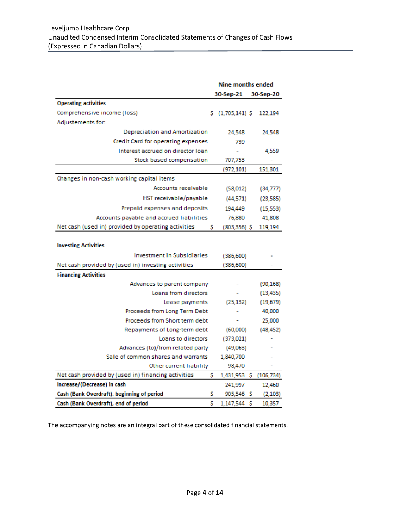|                                                     | <b>Nine months ended</b> |                        |  |            |
|-----------------------------------------------------|--------------------------|------------------------|--|------------|
|                                                     |                          | 30-Sep-21<br>30-Sep-20 |  |            |
| <b>Operating activities</b>                         |                          |                        |  |            |
| Comprehensive income (loss)                         |                          | $$(1,705,141)$ \$      |  | 122,194    |
| Adjustements for:                                   |                          |                        |  |            |
| Depreciation and Amortization                       |                          | 24,548                 |  | 24,548     |
| Credit Card for operating expenses                  |                          | 739                    |  |            |
| Interest accrued on director loan                   |                          |                        |  | 4,559      |
| Stock based compensation                            |                          | 707,753                |  |            |
|                                                     |                          | (972, 101)             |  | 151,301    |
| Changes in non-cash working capital items           |                          |                        |  |            |
| Accounts receivable                                 |                          | (58, 012)              |  | (34, 777)  |
| HST receivable/payable                              |                          | (44, 571)              |  | (23, 585)  |
| Prepaid expenses and deposits                       |                          | 194,449                |  | (15, 553)  |
| Accounts payable and accrued liabilities            |                          | 76,880                 |  | 41,808     |
| Net cash (used in) provided by operating activities | s                        | $(803, 356)$ \$        |  | 119,194    |
|                                                     |                          |                        |  |            |
| <b>Investing Activities</b>                         |                          |                        |  |            |
| <b>Investment in Subsidiaries</b>                   |                          | (386, 600)             |  |            |
| Net cash provided by (used in) investing activities |                          | (386, 600)             |  |            |
| <b>Financing Activities</b>                         |                          |                        |  |            |
| Advances to parent company                          |                          |                        |  | (90, 168)  |
| Loans from directors                                |                          |                        |  | (13, 435)  |
| Lease payments                                      |                          | (25, 132)              |  | (19, 679)  |
| Proceeds from Long Term Debt                        |                          |                        |  | 40,000     |
| Proceeds from Short term debt                       |                          |                        |  | 25,000     |
| Repayments of Long-term debt                        |                          | (60,000)               |  | (48, 452)  |
| Loans to directors                                  |                          | (373, 021)             |  |            |
| Advances (to)/from related party                    |                          | (49,063)               |  |            |
| Sale of common shares and warrants                  |                          | 1,840,700              |  |            |
| Other current liability                             |                          | 98,470                 |  |            |
| Net cash provided by (used in) financing activities | s                        | 1,431,953 \$           |  | (106, 734) |
| Increase/(Decrease) in cash                         |                          | 241,997                |  | 12,460     |
| Cash (Bank Overdraft), beginning of period          | \$                       | 905,546 \$             |  | (2, 103)   |
| Cash (Bank Overdraft), end of period                | \$                       | 1,147,544 \$           |  | 10,357     |

The accompanying notes are an integral part of these consolidated financial statements.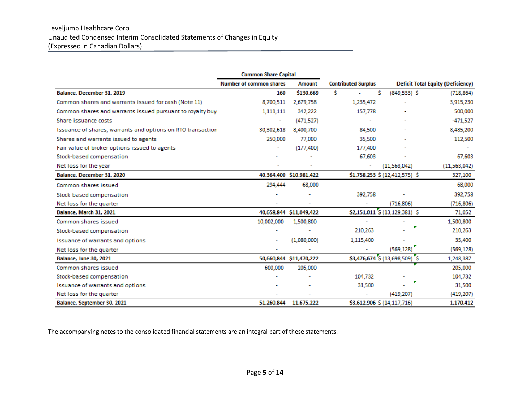#### Leveljump Healthcare Corp. Unaudited Condensed Interim Consolidated Statements of Changes in Equity (Expressed in Canadian Dollars)

|                                                             | <b>Common Share Capital</b>    |                         |                            |    |                                |                                          |
|-------------------------------------------------------------|--------------------------------|-------------------------|----------------------------|----|--------------------------------|------------------------------------------|
|                                                             | <b>Number of common shares</b> | <b>Amount</b>           | <b>Contributed Surplus</b> |    |                                | <b>Deficit Total Equity (Deficiency)</b> |
| Balance, December 31, 2019                                  | 160                            | \$130,669               | Ŝ                          | Ś. | $(849, 533)$ \$                | (718, 864)                               |
| Common shares and warrants issued for cash (Note 11)        | 8,700,511                      | 2,679,758               | 1,235,472                  |    |                                | 3,915,230                                |
| Common shares and warrants issued pursuant to royalty buy-  | 1,111,111                      | 342,222                 | 157,778                    |    |                                | 500,000                                  |
| Share issuance costs                                        | $\overline{\phantom{a}}$       | (471, 527)              |                            |    |                                | $-471,527$                               |
| Issuance of shares, warrants and options on RTO transaction | 30,302,618                     | 8,400,700               | 84,500                     |    |                                | 8,485,200                                |
| Shares and warrants issued to agents                        | 250,000                        | 77,000                  | 35,500                     |    |                                | 112,500                                  |
| Fair value of broker options issued to agents               |                                | (177, 400)              | 177,400                    |    |                                | $\sim$                                   |
| Stock-based compensation                                    |                                |                         | 67,603                     |    |                                | 67,603                                   |
| Net loss for the year                                       |                                |                         | $\tilde{\phantom{a}}$      |    | (11,563,042)                   | (11,563,042)                             |
| Balance, December 31, 2020                                  |                                | 40,364,400 \$10,981,422 |                            |    | \$1,758,253 \$ (12,412,575) \$ | 327,100                                  |
| Common shares issued                                        | 294,444                        | 68,000                  |                            |    |                                | 68,000                                   |
| Stock-based compensation                                    |                                |                         | 392,758                    |    |                                | 392,758                                  |
| Net loss for the quarter                                    |                                |                         |                            |    | (716, 806)                     | (716, 806)                               |
| <b>Balance, March 31, 2021</b>                              |                                | 40,658,844 \$11,049,422 |                            |    | \$2,151,011 \$ (13,129,381) \$ | 71,052                                   |
| Common shares issued                                        | 10,002,000                     | 1,500,800               | $\overline{\phantom{a}}$   |    |                                | 1,500,800                                |
| Stock-based compensation                                    |                                |                         | 210,263                    |    |                                | 210,263                                  |
| <b>Issuance of warrants and options</b>                     |                                | (1,080,000)             | 1,115,400                  |    |                                | 35,400                                   |
| Net loss for the quarter                                    |                                |                         |                            |    | (569, 128)                     | (569, 128)                               |
| <b>Balance, June 30, 2021</b>                               |                                | 50,660,844 \$11,470,222 |                            |    | \$3,476,674 \$ (13,698,509) \$ | 1,248,387                                |
| Common shares issued                                        | 600,000                        | 205,000                 |                            |    |                                | 205,000                                  |
| Stock-based compensation                                    |                                |                         | 104,732                    |    |                                | 104,732                                  |
| <b>Issuance of warrants and options</b>                     |                                |                         | 31,500                     |    |                                | 31,500                                   |
| Net loss for the quarter                                    |                                |                         |                            |    | (419, 207)                     | (419, 207)                               |
| Balance, September 30, 2021                                 | 51,260,844                     | 11,675,222              |                            |    | \$3,612,906 \$ (14,117,716)    | 1,170,412                                |

The accompanying notes to the consolidated financial statements are an integral part of these statements.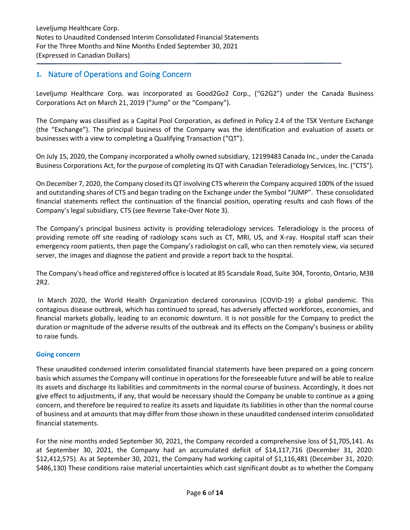### **1.** Nature of Operations and Going Concern

Leveljump Healthcare Corp. was incorporated as Good2Go2 Corp., ("G2G2") under the Canada Business Corporations Act on March 21, 2019 ("Jump" or the "Company").

The Company was classified as a Capital Pool Corporation, as defined in Policy 2.4 of the TSX Venture Exchange (the "Exchange"). The principal business of the Company was the identification and evaluation of assets or businesses with a view to completing a Qualifying Transaction ("QT").

On July 15, 2020, the Company incorporated a wholly owned subsidiary, 12199483 Canada Inc., under the Canada Business Corporations Act, for the purpose of completing its QT with Canadian Teleradiology Services, Inc. ("CTS").

On December 7, 2020, the Company closed its QT involving CTS wherein the Company acquired 100% of the issued and outstanding shares of CTS and began trading on the Exchange under the Symbol "JUMP". These consolidated financial statements reflect the continuation of the financial position, operating results and cash flows of the Company's legal subsidiary, CTS (see Reverse Take-Over Note 3).

The Company's principal business activity is providing teleradiology services. Teleradiology is the process of providing remote off site reading of radiology scans such as CT, MRI, US, and X-ray. Hospital staff scan their emergency room patients, then page the Company's radiologist on call, who can then remotely view, via secured server, the images and diagnose the patient and provide a report back to the hospital.

The Company's head office and registered office is located at 85 Scarsdale Road, Suite 304, Toronto, Ontario, M3B 2R2.

In March 2020, the World Health Organization declared coronavirus (COVID-19) a global pandemic. This contagious disease outbreak, which has continued to spread, has adversely affected workforces, economies, and financial markets globally, leading to an economic downturn. It is not possible for the Company to predict the duration or magnitude of the adverse results of the outbreak and its effects on the Company's business or ability to raise funds.

#### **Going concern**

These unaudited condensed interim consolidated financial statements have been prepared on a going concern basis which assumes the Company will continue in operations for the foreseeable future and will be able to realize its assets and discharge its liabilities and commitments in the normal course of business. Accordingly, it does not give effect to adjustments, if any, that would be necessary should the Company be unable to continue as a going concern, and therefore be required to realize its assets and liquidate its liabilities in other than the normal course of business and at amounts that may differ from those shown in these unaudited condensed interim consolidated financial statements.

For the nine months ended September 30, 2021, the Company recorded a comprehensive loss of \$1,705,141. As at September 30, 2021, the Company had an accumulated deficit of \$14,117,716 (December 31, 2020: \$12,412,575). As at September 30, 2021, the Company had working capital of \$1,116,481 (December 31, 2020: \$486,130) These conditions raise material uncertainties which cast significant doubt as to whether the Company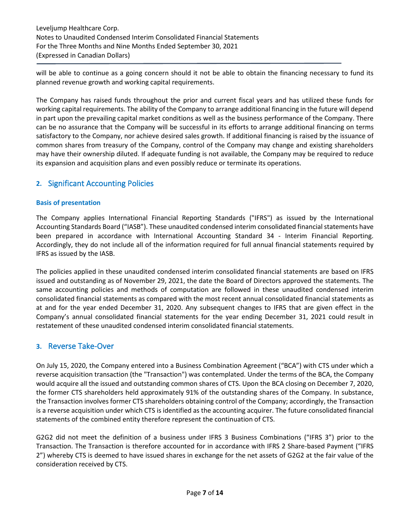Leveljump Healthcare Corp. Notes to Unaudited Condensed Interim Consolidated Financial Statements For the Three Months and Nine Months Ended September 30, 2021 (Expressed in Canadian Dollars)

will be able to continue as a going concern should it not be able to obtain the financing necessary to fund its planned revenue growth and working capital requirements.

The Company has raised funds throughout the prior and current fiscal years and has utilized these funds for working capital requirements. The ability of the Company to arrange additional financing in the future will depend in part upon the prevailing capital market conditions as well as the business performance of the Company. There can be no assurance that the Company will be successful in its efforts to arrange additional financing on terms satisfactory to the Company, nor achieve desired sales growth. If additional financing is raised by the issuance of common shares from treasury of the Company, control of the Company may change and existing shareholders may have their ownership diluted. If adequate funding is not available, the Company may be required to reduce its expansion and acquisition plans and even possibly reduce or terminate its operations.

## **2.** Significant Accounting Policies

#### **Basis of presentation**

The Company applies International Financial Reporting Standards ("IFRS") as issued by the International Accounting Standards Board ("IASB"). These unaudited condensed interim consolidated financial statements have been prepared in accordance with International Accounting Standard 34 - Interim Financial Reporting. Accordingly, they do not include all of the information required for full annual financial statements required by IFRS as issued by the IASB.

The policies applied in these unaudited condensed interim consolidated financial statements are based on IFRS issued and outstanding as of November 29, 2021, the date the Board of Directors approved the statements. The same accounting policies and methods of computation are followed in these unaudited condensed interim consolidated financial statements as compared with the most recent annual consolidated financial statements as at and for the year ended December 31, 2020. Any subsequent changes to IFRS that are given effect in the Company's annual consolidated financial statements for the year ending December 31, 2021 could result in restatement of these unaudited condensed interim consolidated financial statements.

#### **3.** Reverse Take-Over

On July 15, 2020, the Company entered into a Business Combination Agreement ("BCA") with CTS under which a reverse acquisition transaction (the "Transaction") was contemplated. Under the terms of the BCA, the Company would acquire all the issued and outstanding common shares of CTS. Upon the BCA closing on December 7, 2020, the former CTS shareholders held approximately 91% of the outstanding shares of the Company. In substance, the Transaction involves former CTS shareholders obtaining control of the Company; accordingly, the Transaction is a reverse acquisition under which CTS is identified as the accounting acquirer. The future consolidated financial statements of the combined entity therefore represent the continuation of CTS.

G2G2 did not meet the definition of a business under IFRS 3 Business Combinations ("IFRS 3") prior to the Transaction. The Transaction is therefore accounted for in accordance with IFRS 2 Share-based Payment ("IFRS 2") whereby CTS is deemed to have issued shares in exchange for the net assets of G2G2 at the fair value of the consideration received by CTS.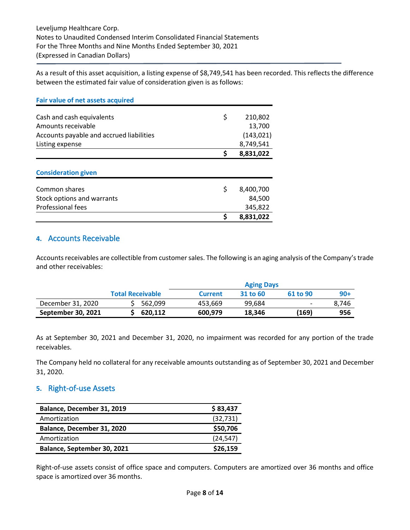As a result of this asset acquisition, a listing expense of \$8,749,541 has been recorded. This reflects the difference between the estimated fair value of consideration given is as follows:

| <b>Fair value of net assets acquired</b> |    |            |
|------------------------------------------|----|------------|
| Cash and cash equivalents                | \$ | 210,802    |
| Amounts receivable                       |    | 13,700     |
| Accounts payable and accrued liabilities |    | (143, 021) |
| Listing expense                          |    | 8,749,541  |
|                                          | \$ | 8,831,022  |
| <b>Consideration given</b>               |    |            |
| Common shares                            | \$ | 8,400,700  |
| Stock options and warrants               |    | 84,500     |
| Professional fees                        |    | 345,822    |
|                                          | Ś  | 8,831,022  |

#### **4.** Accounts Receivable

Accounts receivables are collectible from customer sales. The following is an aging analysis of the Company's trade and other receivables:

|                    |                         | <b>Aging Days</b> |          |                          |       |
|--------------------|-------------------------|-------------------|----------|--------------------------|-------|
|                    | <b>Total Receivable</b> | <b>Current</b>    | 31 to 60 | 61 to 90                 | $90+$ |
| December 31, 2020  | 562.099                 | 453.669           | 99.684   | $\overline{\phantom{a}}$ | 8.746 |
| September 30, 2021 | 620.112                 | 600,979           | 18.346   | (169)                    | 956   |

As at September 30, 2021 and December 31, 2020, no impairment was recorded for any portion of the trade receivables.

The Company held no collateral for any receivable amounts outstanding as of September 30, 2021 and December 31, 2020.

## **5.** Right-of-use Assets

| Balance, December 31, 2019  | \$83,437  |
|-----------------------------|-----------|
| Amortization                | (32, 731) |
| Balance, December 31, 2020  | \$50,706  |
| Amortization                | (24, 547) |
| Balance, September 30, 2021 | \$26,159  |

Right-of-use assets consist of office space and computers. Computers are amortized over 36 months and office space is amortized over 36 months.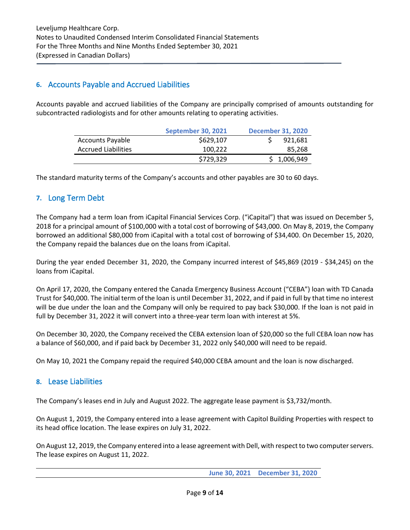## **6.** Accounts Payable and Accrued Liabilities

Accounts payable and accrued liabilities of the Company are principally comprised of amounts outstanding for subcontracted radiologists and for other amounts relating to operating activities.

|                            | <b>September 30, 2021</b> | <b>December 31, 2020</b> |  |
|----------------------------|---------------------------|--------------------------|--|
| <b>Accounts Payable</b>    | \$629,107                 | 921,681                  |  |
| <b>Accrued Liabilities</b> | 100.222                   | 85,268                   |  |
|                            | \$729,329                 | \$1,006,949              |  |

The standard maturity terms of the Company's accounts and other payables are 30 to 60 days.

## **7.** Long Term Debt

The Company had a term loan from iCapital Financial Services Corp. ("iCapital") that was issued on December 5, 2018 for a principal amount of \$100,000 with a total cost of borrowing of \$43,000. On May 8, 2019, the Company borrowed an additional \$80,000 from iCapital with a total cost of borrowing of \$34,400. On December 15, 2020, the Company repaid the balances due on the loans from iCapital.

During the year ended December 31, 2020, the Company incurred interest of \$45,869 (2019 - \$34,245) on the loans from iCapital.

On April 17, 2020, the Company entered the Canada Emergency Business Account ("CEBA") loan with TD Canada Trust for \$40,000. The initial term of the loan is until December 31, 2022, and if paid in full by that time no interest will be due under the loan and the Company will only be required to pay back \$30,000. If the loan is not paid in full by December 31, 2022 it will convert into a three-year term loan with interest at 5%.

On December 30, 2020, the Company received the CEBA extension loan of \$20,000 so the full CEBA loan now has a balance of \$60,000, and if paid back by December 31, 2022 only \$40,000 will need to be repaid.

On May 10, 2021 the Company repaid the required \$40,000 CEBA amount and the loan is now discharged.

#### **8.** Lease Liabilities

The Company's leases end in July and August 2022. The aggregate lease payment is \$3,732/month.

On August 1, 2019, the Company entered into a lease agreement with Capitol Building Properties with respect to its head office location. The lease expires on July 31, 2022.

On August 12, 2019, the Company entered into a lease agreement with Dell, with respect to two computer servers. The lease expires on August 11, 2022.

**June 30, 2021 December 31, 2020**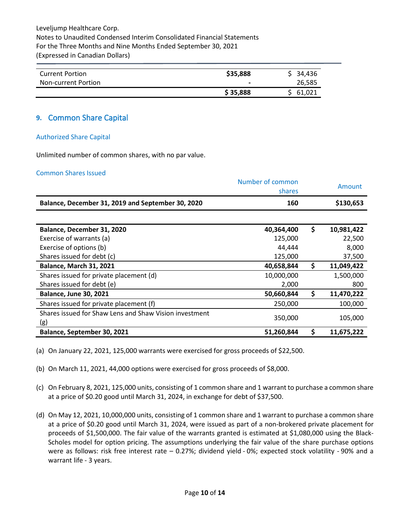Leveljump Healthcare Corp. Notes to Unaudited Condensed Interim Consolidated Financial Statements For the Three Months and Nine Months Ended September 30, 2021 (Expressed in Canadian Dollars)

| <b>Current Portion</b> | \$35,888       | \$34,436 |
|------------------------|----------------|----------|
| Non-current Portion    | $\blacksquare$ | 26,585   |
|                        | \$35,888       | \$61,021 |

#### **9.** Common Share Capital

#### Authorized Share Capital

Unlimited number of common shares, with no par value.

#### Common Shares Issued

|                                                               | Number of common<br>shares | Amount           |
|---------------------------------------------------------------|----------------------------|------------------|
| Balance, December 31, 2019 and September 30, 2020             | 160                        | \$130,653        |
|                                                               |                            |                  |
| Balance, December 31, 2020                                    | 40,364,400                 | \$<br>10,981,422 |
| Exercise of warrants (a)                                      | 125,000                    | 22,500           |
| Exercise of options (b)                                       | 44,444                     | 8,000            |
| Shares issued for debt (c)                                    | 125,000                    | 37,500           |
| <b>Balance, March 31, 2021</b>                                | 40,658,844                 | \$<br>11,049,422 |
| Shares issued for private placement (d)                       | 10,000,000                 | 1,500,000        |
| Shares issued for debt (e)                                    | 2,000                      | 800              |
| <b>Balance, June 30, 2021</b>                                 | 50,660,844                 | \$<br>11,470,222 |
| Shares issued for private placement (f)                       | 250,000                    | 100,000          |
| Shares issued for Shaw Lens and Shaw Vision investment<br>(g) | 350,000                    | 105,000          |
| Balance, September 30, 2021                                   | 51,260,844                 | \$<br>11,675,222 |

(a) On January 22, 2021, 125,000 warrants were exercised for gross proceeds of \$22,500.

- (b) On March 11, 2021, 44,000 options were exercised for gross proceeds of \$8,000.
- (c) On February 8, 2021, 125,000 units, consisting of 1 common share and 1 warrant to purchase a common share at a price of \$0.20 good until March 31, 2024, in exchange for debt of \$37,500.
- (d) On May 12, 2021, 10,000,000 units, consisting of 1 common share and 1 warrant to purchase a common share at a price of \$0.20 good until March 31, 2024, were issued as part of a non-brokered private placement for proceeds of \$1,500,000. The fair value of the warrants granted is estimated at \$1,080,000 using the Black-Scholes model for option pricing. The assumptions underlying the fair value of the share purchase options were as follows: risk free interest rate – 0.27%; dividend yield - 0%; expected stock volatility - 90% and a warrant life - 3 years.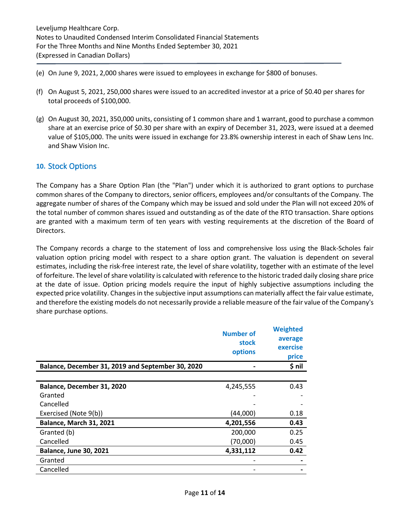- (e) On June 9, 2021, 2,000 shares were issued to employees in exchange for \$800 of bonuses.
- (f) On August 5, 2021, 250,000 shares were issued to an accredited investor at a price of \$0.40 per shares for total proceeds of \$100,000.
- (g) On August 30, 2021, 350,000 units, consisting of 1 common share and 1 warrant, good to purchase a common share at an exercise price of \$0.30 per share with an expiry of December 31, 2023, were issued at a deemed value of \$105,000. The units were issued in exchange for 23.8% ownership interest in each of Shaw Lens Inc. and Shaw Vision Inc.

#### **10.** Stock Options

The Company has a Share Option Plan (the "Plan") under which it is authorized to grant options to purchase common shares of the Company to directors, senior officers, employees and/or consultants of the Company. The aggregate number of shares of the Company which may be issued and sold under the Plan will not exceed 20% of the total number of common shares issued and outstanding as of the date of the RTO transaction. Share options are granted with a maximum term of ten years with vesting requirements at the discretion of the Board of Directors.

The Company records a charge to the statement of loss and comprehensive loss using the Black-Scholes fair valuation option pricing model with respect to a share option grant. The valuation is dependent on several estimates, including the risk-free interest rate, the level of share volatility, together with an estimate of the level of forfeiture. The level of share volatility is calculated with reference to the historic traded daily closing share price at the date of issue. Option pricing models require the input of highly subjective assumptions including the expected price volatility. Changes in the subjective input assumptions can materially affect the fair value estimate, and therefore the existing models do not necessarily provide a reliable measure of the fair value of the Company's share purchase options.

|                                                   | <b>Number of</b><br>stock<br>options | <b>Weighted</b><br>average<br>exercise<br>price |
|---------------------------------------------------|--------------------------------------|-------------------------------------------------|
| Balance, December 31, 2019 and September 30, 2020 |                                      | $$$ nil                                         |
|                                                   |                                      |                                                 |
| Balance, December 31, 2020                        | 4,245,555                            | 0.43                                            |
| Granted                                           |                                      |                                                 |
| Cancelled                                         |                                      |                                                 |
| Exercised (Note 9(b))                             | (44,000)                             | 0.18                                            |
| <b>Balance, March 31, 2021</b>                    | 4,201,556                            | 0.43                                            |
| Granted (b)                                       | 200,000                              | 0.25                                            |
| Cancelled                                         | (70,000)                             | 0.45                                            |
| <b>Balance, June 30, 2021</b>                     | 4,331,112                            | 0.42                                            |
| Granted                                           |                                      |                                                 |
| Cancelled                                         |                                      |                                                 |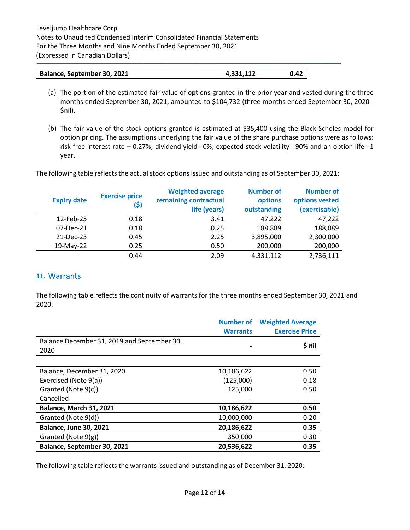| Balance, September 30, 2021 | 4,331,112 | 0.42 |
|-----------------------------|-----------|------|
|-----------------------------|-----------|------|

- (a) The portion of the estimated fair value of options granted in the prior year and vested during the three months ended September 30, 2021, amounted to \$104,732 (three months ended September 30, 2020 - \$nil).
- (b) The fair value of the stock options granted is estimated at \$35,400 using the Black-Scholes model for option pricing. The assumptions underlying the fair value of the share purchase options were as follows: risk free interest rate – 0.27%; dividend yield - 0%; expected stock volatility - 90% and an option life - 1 year.

The following table reflects the actual stock options issued and outstanding as of September 30, 2021:

| <b>Expiry date</b> | <b>Exercise price</b><br>(\$) | <b>Weighted average</b><br>remaining contractual<br>life (years) | <b>Number of</b><br>options<br>outstanding | <b>Number of</b><br>options vested<br>(exercisable) |
|--------------------|-------------------------------|------------------------------------------------------------------|--------------------------------------------|-----------------------------------------------------|
| 12-Feb-25          | 0.18                          | 3.41                                                             | 47,222                                     | 47,222                                              |
| 07-Dec-21          | 0.18                          | 0.25                                                             | 188,889                                    | 188,889                                             |
| 21-Dec-23          | 0.45                          | 2.25                                                             | 3,895,000                                  | 2,300,000                                           |
| 19-May-22          | 0.25                          | 0.50                                                             | 200,000                                    | 200,000                                             |
|                    | 0.44                          | 2.09                                                             | 4,331,112                                  | 2,736,111                                           |

#### **11.** Warrants

The following table reflects the continuity of warrants for the three months ended September 30, 2021 and 2020:

|                                             | <b>Number of</b> | <b>Weighted Average</b> |
|---------------------------------------------|------------------|-------------------------|
|                                             | <b>Warrants</b>  | <b>Exercise Price</b>   |
| Balance December 31, 2019 and September 30, |                  |                         |
| 2020                                        |                  | \$ nil                  |
|                                             |                  |                         |
| Balance, December 31, 2020                  | 10,186,622       | 0.50                    |
| Exercised (Note 9(a))                       | (125,000)        | 0.18                    |
| Granted (Note 9(c))                         | 125,000          | 0.50                    |
| Cancelled                                   |                  |                         |
| <b>Balance, March 31, 2021</b>              | 10,186,622       | 0.50                    |
| Granted (Note 9(d))                         | 10,000,000       | 0.20                    |
| <b>Balance, June 30, 2021</b>               | 20,186,622       | 0.35                    |
| Granted (Note 9(g))                         | 350,000          | 0.30                    |
| Balance, September 30, 2021                 | 20,536,622       | 0.35                    |

The following table reflects the warrants issued and outstanding as of December 31, 2020: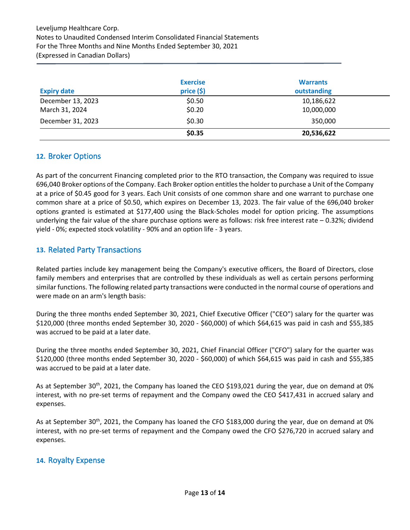|                    | <b>Exercise</b> | <b>Warrants</b> |
|--------------------|-----------------|-----------------|
| <b>Expiry date</b> | price(5)        | outstanding     |
| December 13, 2023  | \$0.50          | 10,186,622      |
| March 31, 2024     | \$0.20          | 10,000,000      |
| December 31, 2023  | \$0.30          | 350,000         |
|                    | \$0.35          | 20,536,622      |

#### **12.** Broker Options

As part of the concurrent Financing completed prior to the RTO transaction, the Company was required to issue 696,040 Broker options of the Company. Each Broker option entitles the holder to purchase a Unit of the Company at a price of \$0.45 good for 3 years. Each Unit consists of one common share and one warrant to purchase one common share at a price of \$0.50, which expires on December 13, 2023. The fair value of the 696,040 broker options granted is estimated at \$177,400 using the Black-Scholes model for option pricing. The assumptions underlying the fair value of the share purchase options were as follows: risk free interest rate - 0.32%; dividend yield - 0%; expected stock volatility - 90% and an option life - 3 years.

## **13.** Related Party Transactions

Related parties include key management being the Company's executive officers, the Board of Directors, close family members and enterprises that are controlled by these individuals as well as certain persons performing similar functions. The following related party transactions were conducted in the normal course of operations and were made on an arm's length basis:

During the three months ended September 30, 2021, Chief Executive Officer ("CEO") salary for the quarter was \$120,000 (three months ended September 30, 2020 - \$60,000) of which \$64,615 was paid in cash and \$55,385 was accrued to be paid at a later date.

During the three months ended September 30, 2021, Chief Financial Officer ("CFO") salary for the quarter was \$120,000 (three months ended September 30, 2020 - \$60,000) of which \$64,615 was paid in cash and \$55,385 was accrued to be paid at a later date.

As at September 30<sup>th</sup>, 2021, the Company has loaned the CEO \$193,021 during the year, due on demand at 0% interest, with no pre-set terms of repayment and the Company owed the CEO \$417,431 in accrued salary and expenses.

As at September 30<sup>th</sup>, 2021, the Company has loaned the CFO \$183,000 during the year, due on demand at 0% interest, with no pre-set terms of repayment and the Company owed the CFO \$276,720 in accrued salary and expenses.

#### **14.** Royalty Expense